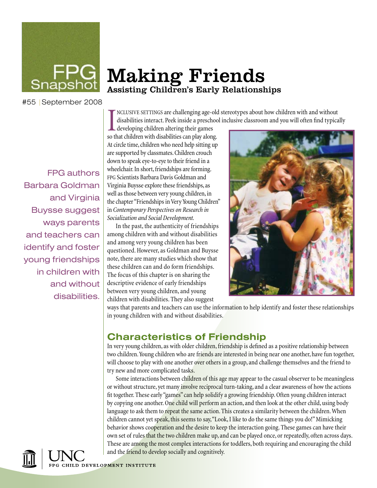

# Making Friends Assisting Children's Early Relationships

#55 |September 2008

FPG authors Barbara Goldman and Virginia Buysse suggest ways parents and teachers can identify and foster young friendships in children with and without disabilities.

INCLUSIVE SETTINGS are challenging age-old disabilities interact. Peek inside a preschood eveloping children altering their games so that children with disabilities can play along. nclusive settings are challenging age-old stereotypes about how children with and without disabilities interact. Peek inside a preschool inclusive classroom and you will often find typically

developing children altering their games At circle time, children who need help sitting up are supported by classmates. Children crouch down to speak eye-to-eye to their friend in a wheelchair. In short, friendships are forming. fpg Scientists Barbara Davis Goldman and Virginia Buysse explore these friendships, as well as those between very young children, in the chapter "Friendships in Very Young Children" in *Contemporary Perspectives on Research in Socialization and Social Development.*

In the past, the authenticity of friendships among children with and without disabilities and among very young children has been questioned. However, as Goldman and Buysse note, there are many studies which show that these children can and do form friendships. The focus of this chapter is on sharing the descriptive evidence of early friendships between very young children, and young children with disabilities. They also suggest



ways that parents and teachers can use the information to help identify and foster these relationships in young children with and without disabilities.

#### **Characteristics of Friendship**

In very young children, as with older children, friendship is defined as a positive relationship between two children. Young children who are friends are interested in being near one another, have fun together, will choose to play with one another over others in a group, and challenge themselves and the friend to try new and more complicated tasks.

Some interactions between children of this age may appear to the casual observer to be meaningless or without structure, yet many involve reciprocal turn-taking, and a clear awareness of how the actions fit together. These early "games" can help solidify a growing friendship. Often young children interact by copying one another. One child will perform an action, and then look at the other child, using body language to ask them to repeat the same action. This creates a similarity between the children. When children cannot yet speak, this seems to say, "Look, I like to do the same things you do!" Mimicking behavior shows cooperation and the desire to keep the interaction going. These games can have their own set of rules that the two children make up, and can be played once, or repeatedly, often across days. These are among the most complex interactions for toddlers, both requiring and encouraging the child and the friend to develop socially and cognitively.